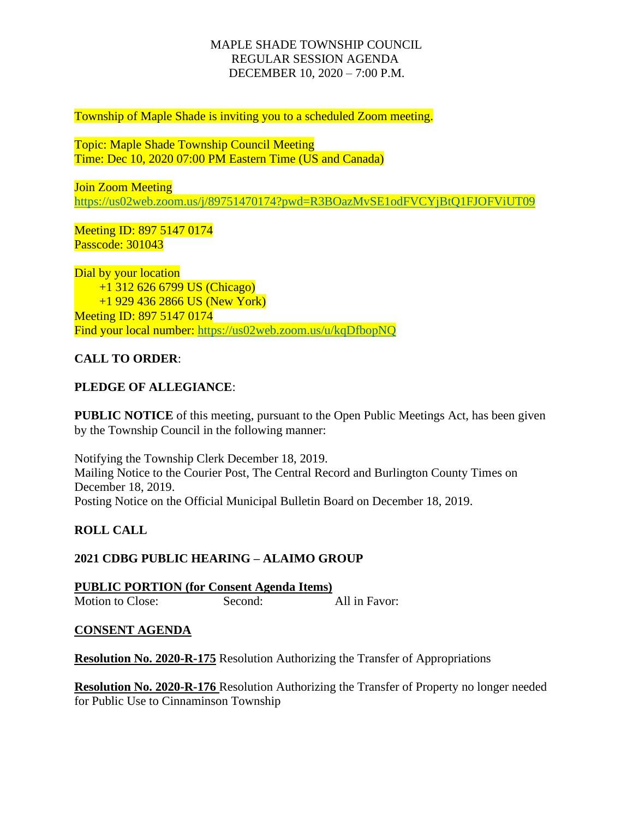### MAPLE SHADE TOWNSHIP COUNCIL REGULAR SESSION AGENDA DECEMBER 10, 2020 – 7:00 P.M.

Township of Maple Shade is inviting you to a scheduled Zoom meeting.

Topic: Maple Shade Township Council Meeting Time: Dec 10, 2020 07:00 PM Eastern Time (US and Canada)

Join Zoom Meeting <https://us02web.zoom.us/j/89751470174?pwd=R3BOazMvSE1odFVCYjBtQ1FJOFViUT09>

Meeting ID: 897 5147 0174 Passcode: 301043

Dial by your location +1 312 626 6799 US (Chicago) +1 929 436 2866 US (New York) Meeting ID: 897 5147 0174 Find your local number:<https://us02web.zoom.us/u/kqDfbopNQ>

# **CALL TO ORDER**:

# **PLEDGE OF ALLEGIANCE**:

**PUBLIC NOTICE** of this meeting, pursuant to the Open Public Meetings Act, has been given by the Township Council in the following manner:

Notifying the Township Clerk December 18, 2019. Mailing Notice to the Courier Post, The Central Record and Burlington County Times on December 18, 2019. Posting Notice on the Official Municipal Bulletin Board on December 18, 2019.

#### **ROLL CALL**

#### **2021 CDBG PUBLIC HEARING – ALAIMO GROUP**

**PUBLIC PORTION (for Consent Agenda Items)** Motion to Close: Second: All in Favor:

#### **CONSENT AGENDA**

**Resolution No. 2020-R-175** Resolution Authorizing the Transfer of Appropriations

**Resolution No. 2020-R-176** Resolution Authorizing the Transfer of Property no longer needed for Public Use to Cinnaminson Township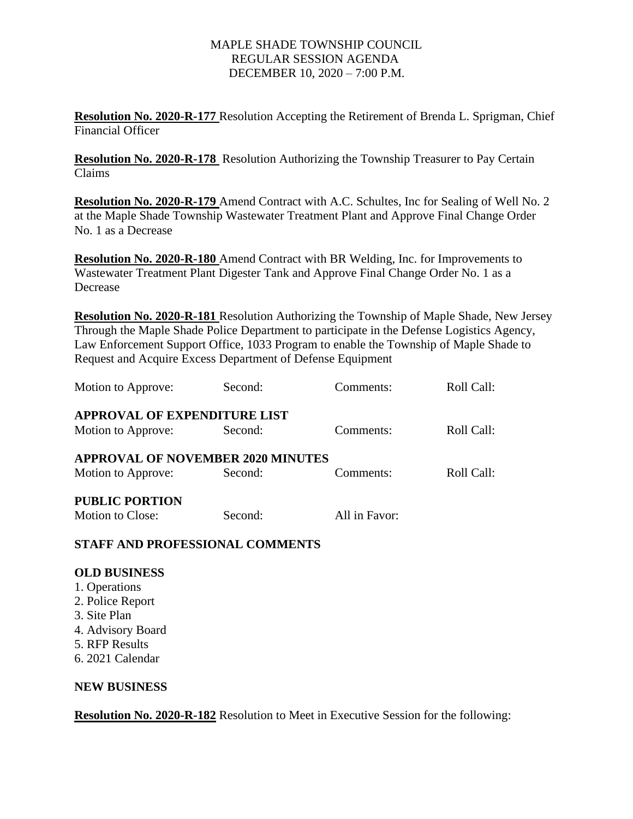### MAPLE SHADE TOWNSHIP COUNCIL REGULAR SESSION AGENDA DECEMBER 10, 2020 – 7:00 P.M.

**Resolution No. 2020-R-177** Resolution Accepting the Retirement of Brenda L. Sprigman, Chief Financial Officer

**Resolution No. 2020-R-178** Resolution Authorizing the Township Treasurer to Pay Certain Claims

**Resolution No. 2020-R-179** Amend Contract with A.C. Schultes, Inc for Sealing of Well No. 2 at the Maple Shade Township Wastewater Treatment Plant and Approve Final Change Order No. 1 as a Decrease

**Resolution No. 2020-R-180** Amend Contract with BR Welding, Inc. for Improvements to Wastewater Treatment Plant Digester Tank and Approve Final Change Order No. 1 as a Decrease

**Resolution No. 2020-R-181** Resolution Authorizing the Township of Maple Shade, New Jersey Through the Maple Shade Police Department to participate in the Defense Logistics Agency, Law Enforcement Support Office, 1033 Program to enable the Township of Maple Shade to Request and Acquire Excess Department of Defense Equipment

| Motion to Approve:                       | Second: | Comments:     | Roll Call: |
|------------------------------------------|---------|---------------|------------|
| <b>APPROVAL OF EXPENDITURE LIST</b>      |         |               |            |
| Motion to Approve:                       | Second: | Comments:     | Roll Call: |
| <b>APPROVAL OF NOVEMBER 2020 MINUTES</b> |         |               |            |
| Motion to Approve:                       | Second: | Comments:     | Roll Call: |
| <b>PUBLIC PORTION</b>                    |         |               |            |
| Motion to Close:                         | Second: | All in Favor: |            |
|                                          |         |               |            |

**STAFF AND PROFESSIONAL COMMENTS**

# **OLD BUSINESS**

- 1. Operations
- 2. Police Report
- 3. Site Plan
- 4. Advisory Board
- 5. RFP Results
- 6. 2021 Calendar

# **NEW BUSINESS**

**Resolution No. 2020-R-182** Resolution to Meet in Executive Session for the following: